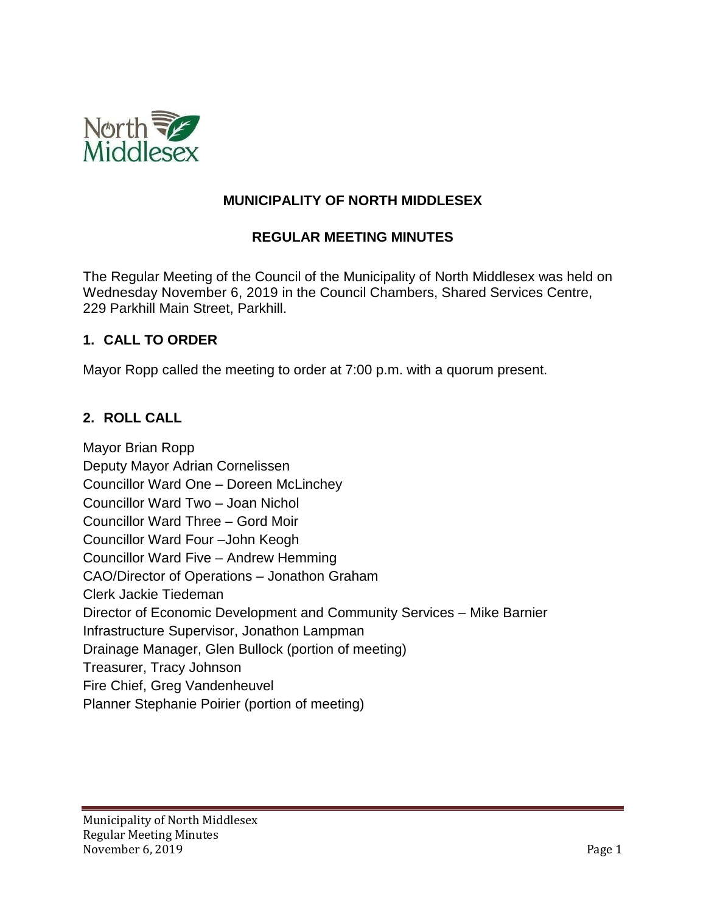

## **MUNICIPALITY OF NORTH MIDDLESEX**

## **REGULAR MEETING MINUTES**

The Regular Meeting of the Council of the Municipality of North Middlesex was held on Wednesday November 6, 2019 in the Council Chambers, Shared Services Centre, 229 Parkhill Main Street, Parkhill.

#### **1. CALL TO ORDER**

Mayor Ropp called the meeting to order at 7:00 p.m. with a quorum present.

## **2. ROLL CALL**

Mayor Brian Ropp Deputy Mayor Adrian Cornelissen Councillor Ward One – Doreen McLinchey Councillor Ward Two – Joan Nichol Councillor Ward Three – Gord Moir Councillor Ward Four –John Keogh Councillor Ward Five – Andrew Hemming CAO/Director of Operations – Jonathon Graham Clerk Jackie Tiedeman Director of Economic Development and Community Services – Mike Barnier Infrastructure Supervisor, Jonathon Lampman Drainage Manager, Glen Bullock (portion of meeting) Treasurer, Tracy Johnson Fire Chief, Greg Vandenheuvel Planner Stephanie Poirier (portion of meeting)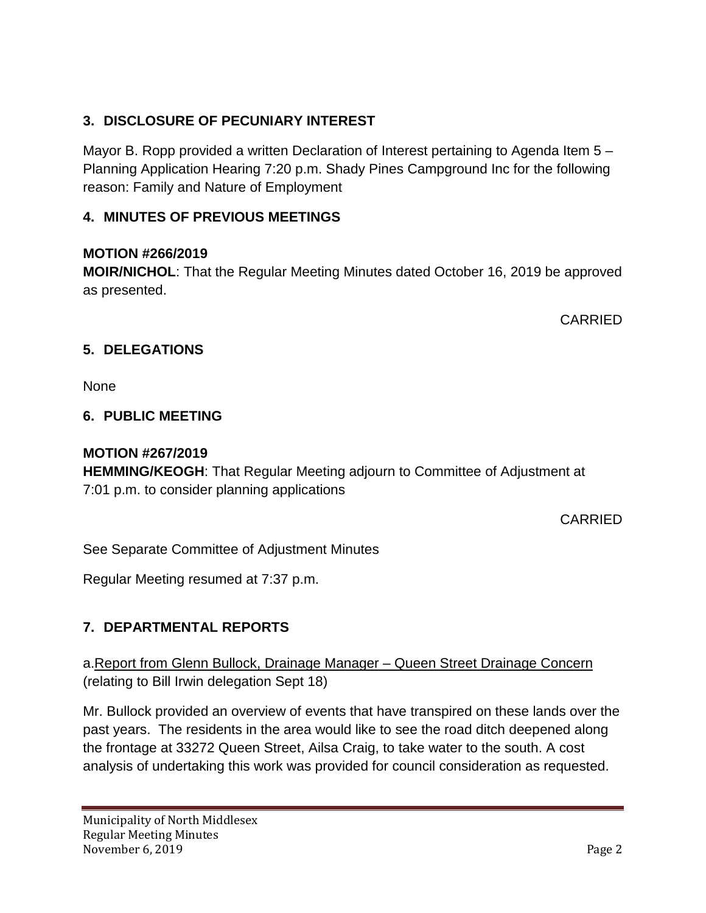# **3. DISCLOSURE OF PECUNIARY INTEREST**

Mayor B. Ropp provided a written Declaration of Interest pertaining to Agenda Item 5 – Planning Application Hearing 7:20 p.m. Shady Pines Campground Inc for the following reason: Family and Nature of Employment

## **4. MINUTES OF PREVIOUS MEETINGS**

#### **MOTION #266/2019**

**MOIR/NICHOL**: That the Regular Meeting Minutes dated October 16, 2019 be approved as presented.

CARRIED

## **5. DELEGATIONS**

None

## **6. PUBLIC MEETING**

## **MOTION #267/2019**

**HEMMING/KEOGH**: That Regular Meeting adjourn to Committee of Adjustment at 7:01 p.m. to consider planning applications

CARRIED

See Separate Committee of Adjustment Minutes

Regular Meeting resumed at 7:37 p.m.

## **7. DEPARTMENTAL REPORTS**

a.Report from Glenn Bullock, Drainage Manager – Queen Street Drainage Concern (relating to Bill Irwin delegation Sept 18)

Mr. Bullock provided an overview of events that have transpired on these lands over the past years. The residents in the area would like to see the road ditch deepened along the frontage at 33272 Queen Street, Ailsa Craig, to take water to the south. A cost analysis of undertaking this work was provided for council consideration as requested.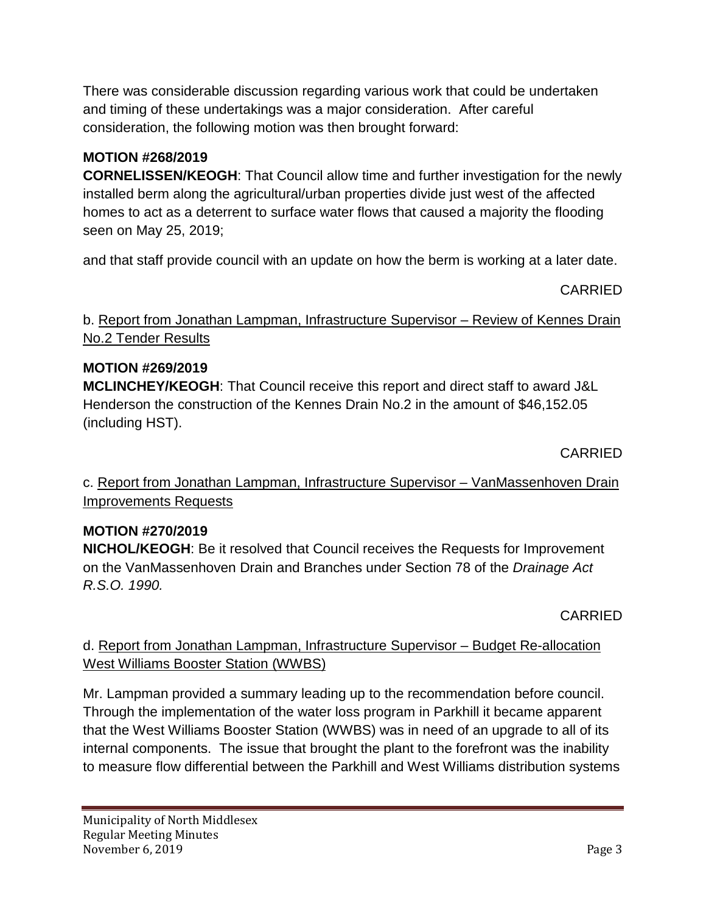There was considerable discussion regarding various work that could be undertaken and timing of these undertakings was a major consideration. After careful consideration, the following motion was then brought forward:

## **MOTION #268/2019**

**CORNELISSEN/KEOGH**: That Council allow time and further investigation for the newly installed berm along the agricultural/urban properties divide just west of the affected homes to act as a deterrent to surface water flows that caused a majority the flooding seen on May 25, 2019;

and that staff provide council with an update on how the berm is working at a later date.

CARRIED

b. Report from Jonathan Lampman, Infrastructure Supervisor – Review of Kennes Drain No.2 Tender Results

# **MOTION #269/2019**

**MCLINCHEY/KEOGH**: That Council receive this report and direct staff to award J&L Henderson the construction of the Kennes Drain No.2 in the amount of \$46,152.05 (including HST).

CARRIED

c. Report from Jonathan Lampman, Infrastructure Supervisor – VanMassenhoven Drain Improvements Requests

# **MOTION #270/2019**

**NICHOL/KEOGH**: Be it resolved that Council receives the Requests for Improvement on the VanMassenhoven Drain and Branches under Section 78 of the *Drainage Act R.S.O. 1990.* 

CARRIED

d. Report from Jonathan Lampman, Infrastructure Supervisor – Budget Re-allocation West Williams Booster Station (WWBS)

Mr. Lampman provided a summary leading up to the recommendation before council. Through the implementation of the water loss program in Parkhill it became apparent that the West Williams Booster Station (WWBS) was in need of an upgrade to all of its internal components. The issue that brought the plant to the forefront was the inability to measure flow differential between the Parkhill and West Williams distribution systems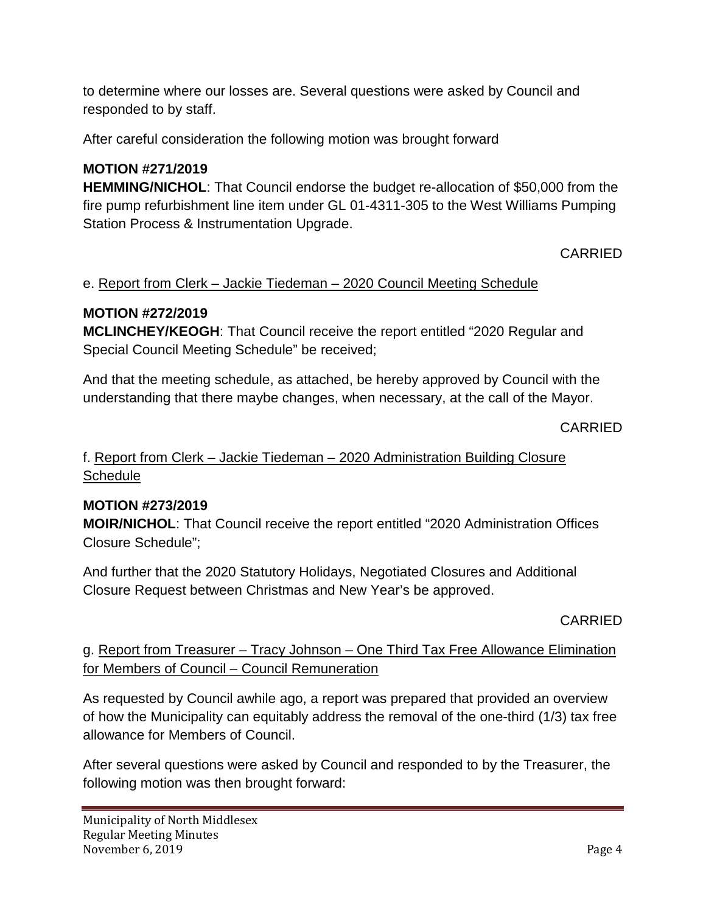to determine where our losses are. Several questions were asked by Council and responded to by staff.

After careful consideration the following motion was brought forward

# **MOTION #271/2019**

**HEMMING/NICHOL**: That Council endorse the budget re-allocation of \$50,000 from the fire pump refurbishment line item under GL 01-4311-305 to the West Williams Pumping Station Process & Instrumentation Upgrade.

## CARRIED

## e. Report from Clerk – Jackie Tiedeman – 2020 Council Meeting Schedule

## **MOTION #272/2019**

**MCLINCHEY/KEOGH**: That Council receive the report entitled "2020 Regular and Special Council Meeting Schedule" be received;

And that the meeting schedule, as attached, be hereby approved by Council with the understanding that there maybe changes, when necessary, at the call of the Mayor.

#### CARRIED

f. Report from Clerk – Jackie Tiedeman – 2020 Administration Building Closure **Schedule** 

## **MOTION #273/2019**

**MOIR/NICHOL**: That Council receive the report entitled "2020 Administration Offices Closure Schedule";

And further that the 2020 Statutory Holidays, Negotiated Closures and Additional Closure Request between Christmas and New Year's be approved.

CARRIED

## g. Report from Treasurer – Tracy Johnson – One Third Tax Free Allowance Elimination for Members of Council – Council Remuneration

As requested by Council awhile ago, a report was prepared that provided an overview of how the Municipality can equitably address the removal of the one-third (1/3) tax free allowance for Members of Council.

After several questions were asked by Council and responded to by the Treasurer, the following motion was then brought forward: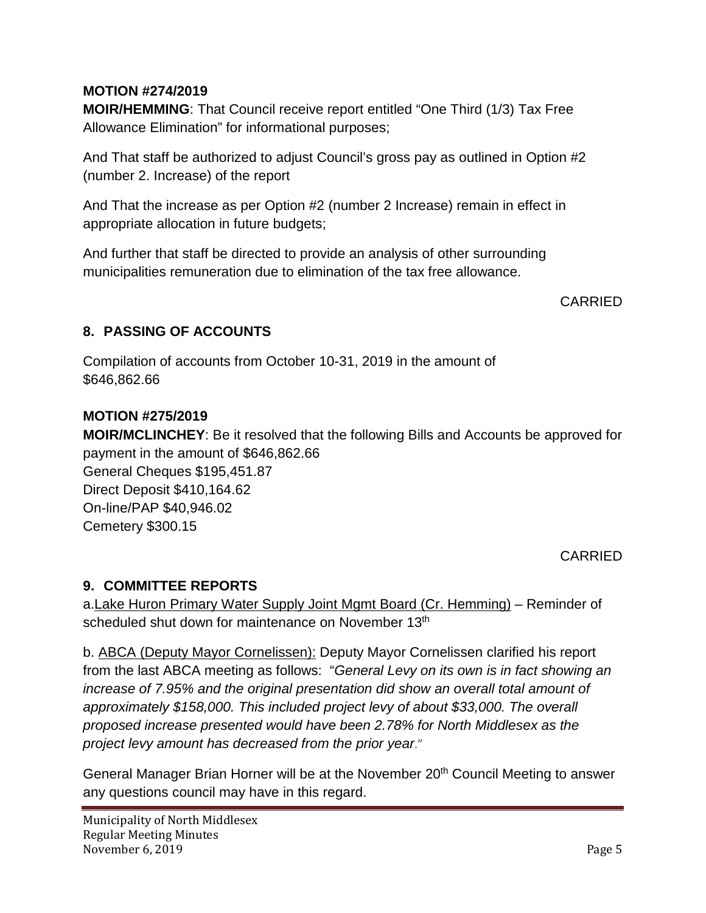## **MOTION #274/2019**

**MOIR/HEMMING**: That Council receive report entitled "One Third (1/3) Tax Free Allowance Elimination" for informational purposes;

And That staff be authorized to adjust Council's gross pay as outlined in Option #2 (number 2. Increase) of the report

And That the increase as per Option #2 (number 2 Increase) remain in effect in appropriate allocation in future budgets;

And further that staff be directed to provide an analysis of other surrounding municipalities remuneration due to elimination of the tax free allowance.

CARRIED

## **8. PASSING OF ACCOUNTS**

Compilation of accounts from October 10-31, 2019 in the amount of \$646,862.66

## **MOTION #275/2019**

**MOIR/MCLINCHEY**: Be it resolved that the following Bills and Accounts be approved for payment in the amount of \$646,862.66

General Cheques \$195,451.87 Direct Deposit \$410,164.62 On-line/PAP \$40,946.02 Cemetery \$300.15

## CARRIED

## **9. COMMITTEE REPORTS**

a.Lake Huron Primary Water Supply Joint Mgmt Board (Cr. Hemming) – Reminder of scheduled shut down for maintenance on November 13<sup>th</sup>

b. ABCA (Deputy Mayor Cornelissen): Deputy Mayor Cornelissen clarified his report from the last ABCA meeting as follows: "*General Levy on its own is in fact showing an increase of 7.95% and the original presentation did show an overall total amount of approximately \$158,000. This included project levy of about \$33,000. The overall proposed increase presented would have been 2.78% for North Middlesex as the project levy amount has decreased from the prior year*."

General Manager Brian Horner will be at the November 20<sup>th</sup> Council Meeting to answer any questions council may have in this regard.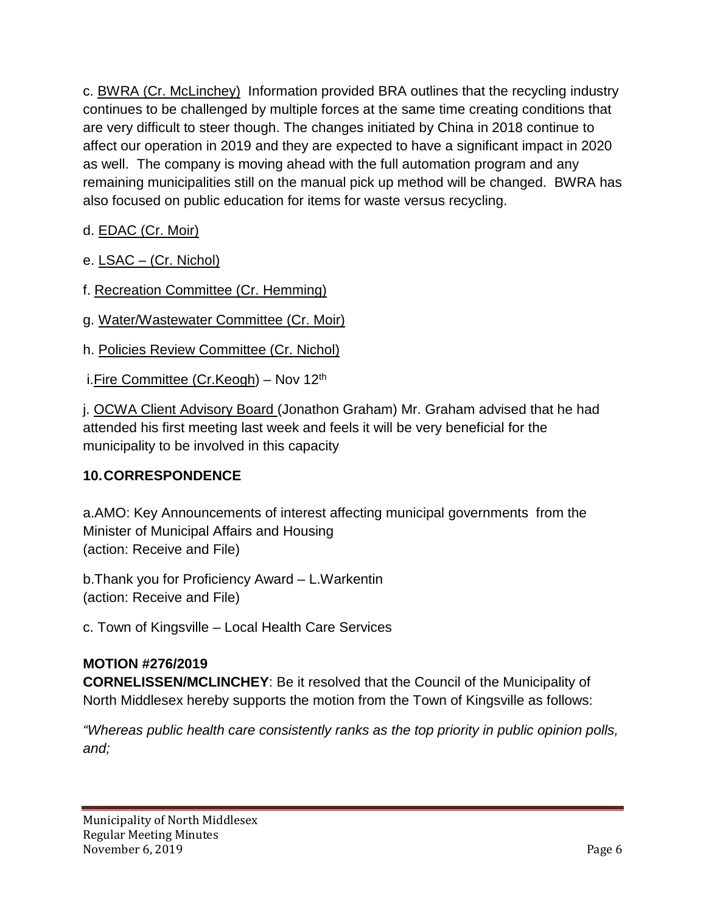c. BWRA (Cr. McLinchey) Information provided BRA outlines that the recycling industry continues to be challenged by multiple forces at the same time creating conditions that are very difficult to steer though. The changes initiated by China in 2018 continue to affect our operation in 2019 and they are expected to have a significant impact in 2020 as well. The company is moving ahead with the full automation program and any remaining municipalities still on the manual pick up method will be changed. BWRA has also focused on public education for items for waste versus recycling.

# d. EDAC (Cr. Moir)

e. LSAC – (Cr. Nichol)

- f. Recreation Committee (Cr. Hemming)
- g. Water/Wastewater Committee (Cr. Moir)
- h. Policies Review Committee (Cr. Nichol)
- i. Fire Committee (Cr. Keogh) Nov 12<sup>th</sup>

j. OCWA Client Advisory Board (Jonathon Graham) Mr. Graham advised that he had attended his first meeting last week and feels it will be very beneficial for the municipality to be involved in this capacity

## **10.CORRESPONDENCE**

a.AMO: Key Announcements of interest affecting municipal governments from the Minister of Municipal Affairs and Housing (action: Receive and File)

b.Thank you for Proficiency Award – L.Warkentin (action: Receive and File)

c. Town of Kingsville – Local Health Care Services

## **MOTION #276/2019**

**CORNELISSEN/MCLINCHEY**: Be it resolved that the Council of the Municipality of North Middlesex hereby supports the motion from the Town of Kingsville as follows:

*"Whereas public health care consistently ranks as the top priority in public opinion polls, and;*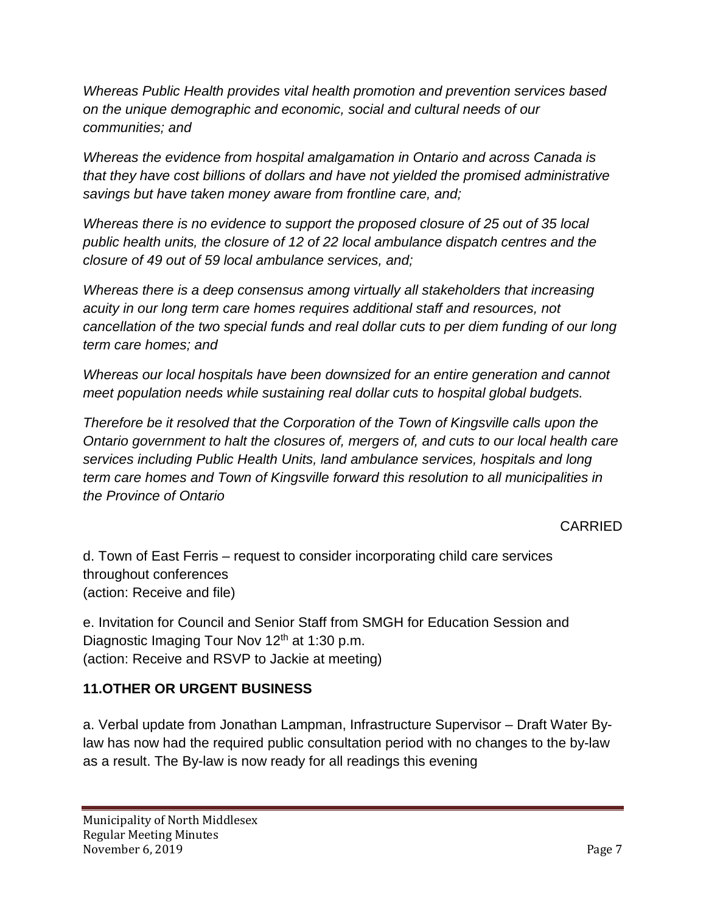*Whereas Public Health provides vital health promotion and prevention services based on the unique demographic and economic, social and cultural needs of our communities; and*

*Whereas the evidence from hospital amalgamation in Ontario and across Canada is that they have cost billions of dollars and have not yielded the promised administrative savings but have taken money aware from frontline care, and;*

*Whereas there is no evidence to support the proposed closure of 25 out of 35 local public health units, the closure of 12 of 22 local ambulance dispatch centres and the closure of 49 out of 59 local ambulance services, and;*

*Whereas there is a deep consensus among virtually all stakeholders that increasing acuity in our long term care homes requires additional staff and resources, not cancellation of the two special funds and real dollar cuts to per diem funding of our long term care homes; and*

*Whereas our local hospitals have been downsized for an entire generation and cannot meet population needs while sustaining real dollar cuts to hospital global budgets.*

*Therefore be it resolved that the Corporation of the Town of Kingsville calls upon the Ontario government to halt the closures of, mergers of, and cuts to our local health care services including Public Health Units, land ambulance services, hospitals and long term care homes and Town of Kingsville forward this resolution to all municipalities in the Province of Ontario*

CARRIED

d. Town of East Ferris – request to consider incorporating child care services throughout conferences (action: Receive and file)

e. Invitation for Council and Senior Staff from SMGH for Education Session and Diagnostic Imaging Tour Nov 12<sup>th</sup> at 1:30 p.m. (action: Receive and RSVP to Jackie at meeting)

# **11.OTHER OR URGENT BUSINESS**

a. Verbal update from Jonathan Lampman, Infrastructure Supervisor – Draft Water Bylaw has now had the required public consultation period with no changes to the by-law as a result. The By-law is now ready for all readings this evening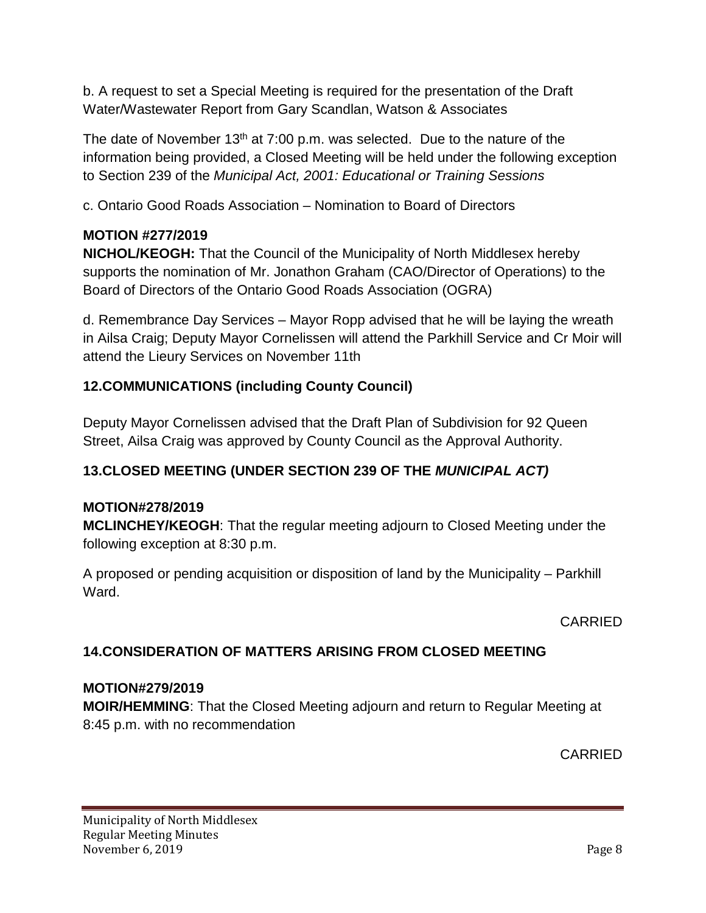b. A request to set a Special Meeting is required for the presentation of the Draft Water/Wastewater Report from Gary Scandlan, Watson & Associates

The date of November  $13<sup>th</sup>$  at 7:00 p.m. was selected. Due to the nature of the information being provided, a Closed Meeting will be held under the following exception to Section 239 of the *Municipal Act, 2001: Educational or Training Sessions*

c. Ontario Good Roads Association – Nomination to Board of Directors

# **MOTION #277/2019**

**NICHOL/KEOGH:** That the Council of the Municipality of North Middlesex hereby supports the nomination of Mr. Jonathon Graham (CAO/Director of Operations) to the Board of Directors of the Ontario Good Roads Association (OGRA)

d. Remembrance Day Services – Mayor Ropp advised that he will be laying the wreath in Ailsa Craig; Deputy Mayor Cornelissen will attend the Parkhill Service and Cr Moir will attend the Lieury Services on November 11th

# **12.COMMUNICATIONS (including County Council)**

Deputy Mayor Cornelissen advised that the Draft Plan of Subdivision for 92 Queen Street, Ailsa Craig was approved by County Council as the Approval Authority.

# **13.CLOSED MEETING (UNDER SECTION 239 OF THE** *MUNICIPAL ACT)*

## **MOTION#278/2019**

**MCLINCHEY/KEOGH**: That the regular meeting adjourn to Closed Meeting under the following exception at 8:30 p.m.

A proposed or pending acquisition or disposition of land by the Municipality – Parkhill Ward.

CARRIED

## **14.CONSIDERATION OF MATTERS ARISING FROM CLOSED MEETING**

## **MOTION#279/2019**

**MOIR/HEMMING**: That the Closed Meeting adjourn and return to Regular Meeting at 8:45 p.m. with no recommendation

CARRIED